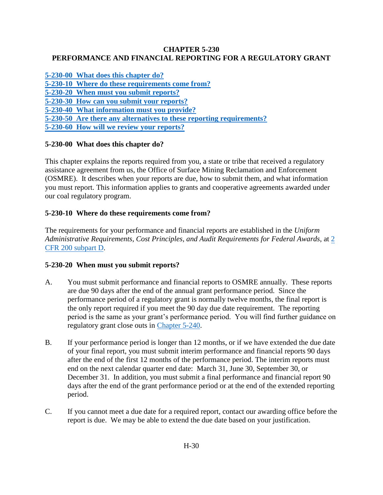# **CHAPTER 5-230 PERFORMANCE AND FINANCIAL REPORTING FOR A REGULATORY GRANT**

**[5-230-00 What does this chapter do?](#page-0-0) [5-230-10 Where do these requirements come from?](#page-0-1) [5-230-20 When must you submit reports?](#page-0-2) [5-230-30 How can you submit your reports?](#page-1-0) 5-230-40 What [information must you provide?](#page-1-1) [5-230-50 Are there any alternatives to these reporting requirements?](#page-1-2) [5-230-60 How will we review your reports?](#page-1-3)**

# <span id="page-0-0"></span>**5-230-00 What does this chapter do?**

This chapter explains the reports required from you, a state or tribe that received a regulatory assistance agreement from us, the Office of Surface Mining Reclamation and Enforcement (OSMRE). It describes when your reports are due, how to submit them, and what information you must report. This information applies to grants and cooperative agreements awarded under our coal regulatory program.

# <span id="page-0-1"></span>**5-230-10 Where do these requirements come from?**

The requirements for your performance and financial reports are established in the *Uniform Administrative Requirements, Cost Principles, and Audit Requirements for Federal Awards*, at [2](http://www.ecfr.gov/cgi-bin/text-idx?SID=3bd3b173eeb54685d68c235a8396c7b0&node=pt2.1.200&rgn=div5)  [CFR 200 subpart D.](http://www.ecfr.gov/cgi-bin/text-idx?SID=3bd3b173eeb54685d68c235a8396c7b0&node=pt2.1.200&rgn=div5)

# <span id="page-0-2"></span>**5-230-20 When must you submit reports?**

- A. You must submit performance and financial reports to OSMRE annually. These reports are due 90 days after the end of the annual grant performance period. Since the performance period of a regulatory grant is normally twelve months, the final report is the only report required if you meet the 90 day due date requirement. The reporting period is the same as your grant's performance period. You will find further guidance on regulatory grant close outs in [Chapter 5-240.](https://www.osmre.gov/lrg/fam/5-240.pdf)
- B. If your performance period is longer than 12 months, or if we have extended the due date of your final report, you must submit interim performance and financial reports 90 days after the end of the first 12 months of the performance period. The interim reports must end on the next calendar quarter end date: March 31, June 30, September 30, or December 31. In addition, you must submit a final performance and financial report 90 days after the end of the grant performance period or at the end of the extended reporting period.
- C. If you cannot meet a due date for a required report, contact our awarding office before the report is due. We may be able to extend the due date based on your justification.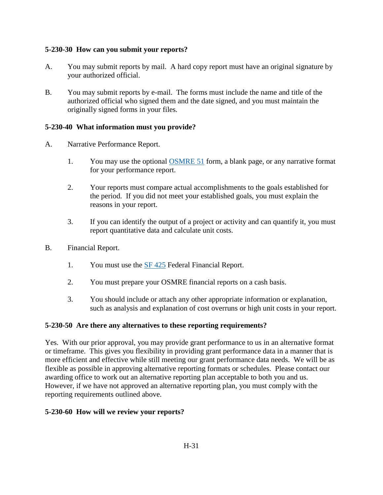### <span id="page-1-0"></span>**5-230-30 How can you submit your reports?**

- A. You may submit reports by mail. A hard copy report must have an original signature by your authorized official.
- B. You may submit reports by e-mail. The forms must include the name and title of the authorized official who signed them and the date signed, and you must maintain the originally signed forms in your files.

### <span id="page-1-1"></span>**5-230-40 What information must you provide?**

- A. Narrative Performance Report.
	- 1. You may use the optional [OSMRE 51](http://www.osmre.gov/resources/forms/OSM51.pdf) form, a blank page, or any narrative format for your performance report.
	- 2. Your reports must compare actual accomplishments to the goals established for the period. If you did not meet your established goals, you must explain the reasons in your report.
	- 3. If you can identify the output of a project or activity and can quantify it, you must report quantitative data and calculate unit costs.
- B. Financial Report.
	- 1. You must use the [SF 425](http://www.whitehouse.gov/sites/default/files/omb/grants/approved_forms/SF-425.pdf) Federal Financial Report.
	- 2. You must prepare your OSMRE financial reports on a cash basis.
	- 3. You should include or attach any other appropriate information or explanation, such as analysis and explanation of cost overruns or high unit costs in your report.

#### <span id="page-1-2"></span>**5-230-50 Are there any alternatives to these reporting requirements?**

Yes. With our prior approval, you may provide grant performance to us in an alternative format or timeframe. This gives you flexibility in providing grant performance data in a manner that is more efficient and effective while still meeting our grant performance data needs. We will be as flexible as possible in approving alternative reporting formats or schedules. Please contact our awarding office to work out an alternative reporting plan acceptable to both you and us. However, if we have not approved an alternative reporting plan, you must comply with the reporting requirements outlined above.

#### <span id="page-1-3"></span>**5-230-60 How will we review your reports?**